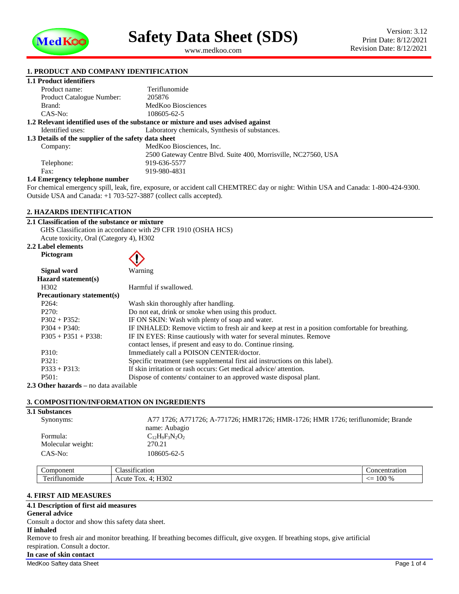

<span id="page-0-1"></span><span id="page-0-0"></span>www.medkoo.com

# **1. PRODUCT AND COMPANY IDENTIFICATION**

# **1.1 Product identifiers**

| Product name:                                        | Teriflunomide                                                                     |
|------------------------------------------------------|-----------------------------------------------------------------------------------|
| <b>Product Catalogue Number:</b>                     | 205876                                                                            |
| Brand:                                               | MedKoo Biosciences                                                                |
| CAS-No:                                              | 108605-62-5                                                                       |
|                                                      | 1.2 Relevant identified uses of the substance or mixture and uses advised against |
| Identified uses:                                     | Laboratory chemicals, Synthesis of substances.                                    |
| 1.3 Details of the supplier of the safety data sheet |                                                                                   |
| Company:                                             | MedKoo Biosciences, Inc.                                                          |
|                                                      | 2500 Gateway Centre Blvd. Suite 400, Morrisville, NC27560, USA                    |
| Telephone:                                           | 919-636-5577                                                                      |
| Fax:                                                 | 919-980-4831                                                                      |
| .                                                    |                                                                                   |

#### **1.4 Emergency telephone number**

For chemical emergency spill, leak, fire, exposure, or accident call CHEMTREC day or night: Within USA and Canada: 1-800-424-9300. Outside USA and Canada: +1 703-527-3887 (collect calls accepted).

#### **2. HAZARDS IDENTIFICATION**

| 2.1 Classification of the substance or mixture               |  |
|--------------------------------------------------------------|--|
| GHS Classification in accordance with 29 CFR 1910 (OSHA HCS) |  |
| Acute toxicity, Oral (Category 4), H302                      |  |
| 2.2 Label elements                                           |  |

| Pictogram                         |                                                                                                  |
|-----------------------------------|--------------------------------------------------------------------------------------------------|
| Signal word                       | Warning                                                                                          |
| Hazard statement(s)               |                                                                                                  |
| H <sub>3</sub> 02                 | Harmful if swallowed.                                                                            |
| <b>Precautionary statement(s)</b> |                                                                                                  |
| P <sub>264</sub> :                | Wash skin thoroughly after handling.                                                             |
| P270:                             | Do not eat, drink or smoke when using this product.                                              |
| $P302 + P352$ :                   | IF ON SKIN: Wash with plenty of soap and water.                                                  |
| $P304 + P340$ :                   | IF INHALED: Remove victim to fresh air and keep at rest in a position comfortable for breathing. |
| $P305 + P351 + P338$ :            | IF IN EYES: Rinse cautiously with water for several minutes. Remove                              |
|                                   | contact lenses, if present and easy to do. Continue rinsing.                                     |
| P310:                             | Immediately call a POISON CENTER/doctor.                                                         |
| P321:                             | Specific treatment (see supplemental first aid instructions on this label).                      |
| $P333 + P313$ :                   | If skin irritation or rash occurs: Get medical advice/attention.                                 |
| P501:                             | Dispose of contents/ container to an approved waste disposal plant.                              |

**2.3 Other hazards –** no data available

## **3. COMPOSITION/INFORMATION ON INGREDIENTS**

| <b>3.1 Substances</b> |                                                                                 |
|-----------------------|---------------------------------------------------------------------------------|
| Synonyms:             | A77 1726; A771726; A-771726; HMR1726; HMR-1726; HMR 1726; teriflunomide; Brande |
|                       | name: Aubagio                                                                   |
| Formula:              | $C_{12}H_9F_3N_2O_2$                                                            |
| Molecular weight:     | 270.21                                                                          |
| $CAS-No:$             | 108605-62-5                                                                     |
|                       |                                                                                 |

| <b>ponent</b><br>nn | $\sim$<br>$\sim$<br>cation<br>0.001<br>$\mathbf{u}$<br>. 17<br>. | nn<br>eem-                                      |
|---------------------|------------------------------------------------------------------|-------------------------------------------------|
| m<br>$-$<br>лие     | H302<br>OX.<br>.CH f                                             | $-10o$<br>$\Omega$<br>--<br>TOO.<br><u>- - </u> |

# **4. FIRST AID MEASURES**

# **4.1 Description of first aid measures**

# **General advice**

Consult a doctor and show this safety data sheet.

#### **If inhaled**

Remove to fresh air and monitor breathing. If breathing becomes difficult, give oxygen. If breathing stops, give artificial respiration. Consult a doctor.

#### **In case of skin contact**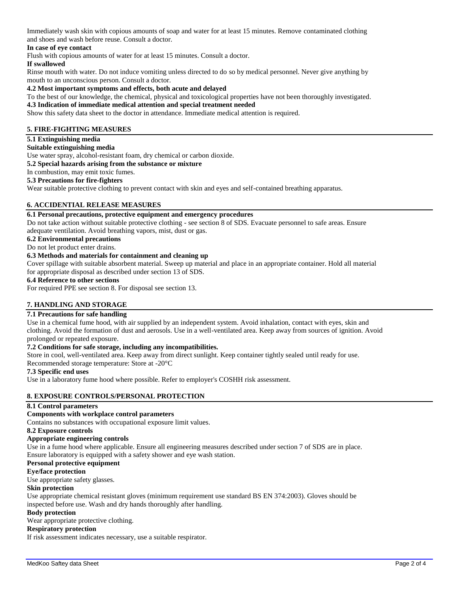Immediately wash skin with copious amounts of soap and water for at least 15 minutes. Remove contaminated clothing and shoes and wash before reuse. Consult a doctor.

# **In case of eye contact**

Flush with copious amounts of water for at least 15 minutes. Consult a doctor.

#### **If swallowed**

Rinse mouth with water. Do not induce vomiting unless directed to do so by medical personnel. Never give anything by mouth to an unconscious person. Consult a doctor.

**4.2 Most important symptoms and effects, both acute and delayed**

#### To the best of our knowledge, the chemical, physical and toxicological properties have not been thoroughly investigated.

#### **4.3 Indication of immediate medical attention and special treatment needed**

Show this safety data sheet to the doctor in attendance. Immediate medical attention is required.

#### **5. FIRE-FIGHTING MEASURES**

#### **5.1 Extinguishing media**

## **Suitable extinguishing media**

Use water spray, alcohol-resistant foam, dry chemical or carbon dioxide.

#### **5.2 Special hazards arising from the substance or mixture**

In combustion, may emit toxic fumes.

#### **5.3 Precautions for fire-fighters**

Wear suitable protective clothing to prevent contact with skin and eyes and self-contained breathing apparatus.

# **6. ACCIDENTIAL RELEASE MEASURES**

# **6.1 Personal precautions, protective equipment and emergency procedures**

Do not take action without suitable protective clothing - see section 8 of SDS. Evacuate personnel to safe areas. Ensure adequate ventilation. Avoid breathing vapors, mist, dust or gas.

# **6.2 Environmental precautions**

Do not let product enter drains.

# **6.3 Methods and materials for containment and cleaning up**

Cover spillage with suitable absorbent material. Sweep up material and place in an appropriate container. Hold all material for appropriate disposal as described under section 13 of SDS.

# **6.4 Reference to other sections**

For required PPE see section 8. For disposal see section 13.

## **7. HANDLING AND STORAGE**

# **7.1 Precautions for safe handling**

Use in a chemical fume hood, with air supplied by an independent system. Avoid inhalation, contact with eyes, skin and clothing. Avoid the formation of dust and aerosols. Use in a well-ventilated area. Keep away from sources of ignition. Avoid prolonged or repeated exposure.

# **7.2 Conditions for safe storage, including any incompatibilities.**

Store in cool, well-ventilated area. Keep away from direct sunlight. Keep container tightly sealed until ready for use. Recommended storage temperature: Store at -20°C

#### **7.3 Specific end uses**

Use in a laboratory fume hood where possible. Refer to employer's COSHH risk assessment.

# **8. EXPOSURE CONTROLS/PERSONAL PROTECTION**

#### **8.1 Control parameters**

#### **Components with workplace control parameters**

Contains no substances with occupational exposure limit values.

#### **8.2 Exposure controls**

#### **Appropriate engineering controls**

Use in a fume hood where applicable. Ensure all engineering measures described under section 7 of SDS are in place. Ensure laboratory is equipped with a safety shower and eye wash station.

#### **Personal protective equipment**

#### **Eye/face protection**

Use appropriate safety glasses.

#### **Skin protection**

Use appropriate chemical resistant gloves (minimum requirement use standard BS EN 374:2003). Gloves should be inspected before use. Wash and dry hands thoroughly after handling.

# **Body protection**

Wear appropriate protective clothing.

## **Respiratory protection**

If risk assessment indicates necessary, use a suitable respirator.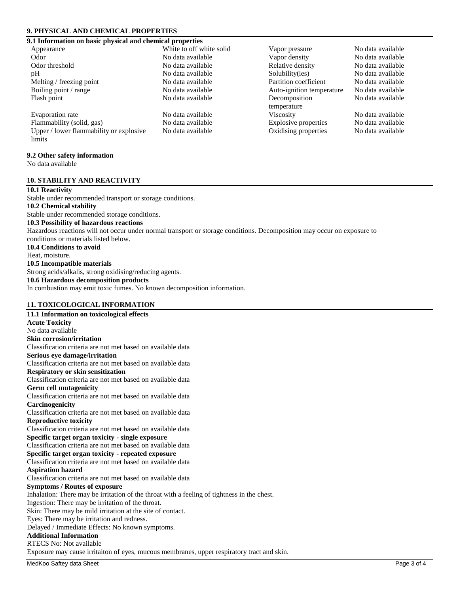# **9. PHYSICAL AND CHEMICAL PROPERTIES**

# **9.1 Information on basic physical and chemical properties**

| Appearance                              | White to off white solid | Vapor pressure            | No data available |
|-----------------------------------------|--------------------------|---------------------------|-------------------|
| Odor                                    | No data available        | Vapor density             | No data available |
| Odor threshold                          | No data available        | Relative density          | No data available |
| pH                                      | No data available        | Solubility(ies)           | No data available |
| Melting / freezing point                | No data available        | Partition coefficient     | No data available |
| Boiling point / range                   | No data available        | Auto-ignition temperature | No data available |
| Flash point                             | No data available        | Decomposition             | No data available |
|                                         |                          | temperature               |                   |
| Evaporation rate                        | No data available        | <b>Viscosity</b>          | No data available |
| Flammability (solid, gas)               | No data available        | Explosive properties      | No data available |
| Upper / lower flammability or explosive | No data available        | Oxidising properties      | No data available |
| limits                                  |                          |                           |                   |
|                                         |                          |                           |                   |
| 9.2 Other safety information            |                          |                           |                   |

No data available

#### **10. STABILITY AND REACTIVITY**

# **10.1 Reactivity**

Stable under recommended transport or storage conditions.

# **10.2 Chemical stability**

Stable under recommended storage conditions.

# **10.3 Possibility of hazardous reactions**

Hazardous reactions will not occur under normal transport or storage conditions. Decomposition may occur on exposure to conditions or materials listed below.

**10.4 Conditions to avoid**

Heat, moisture.

# **10.5 Incompatible materials**

Strong acids/alkalis, strong oxidising/reducing agents.

# **10.6 Hazardous decomposition products**

In combustion may emit toxic fumes. No known decomposition information.

# **11. TOXICOLOGICAL INFORMATION**

| 11.1 Information on toxicological effects                                                   |
|---------------------------------------------------------------------------------------------|
| <b>Acute Toxicity</b>                                                                       |
| No data available                                                                           |
| <b>Skin corrosion/irritation</b>                                                            |
| Classification criteria are not met based on available data                                 |
| Serious eye damage/irritation                                                               |
| Classification criteria are not met based on available data                                 |
| Respiratory or skin sensitization                                                           |
| Classification criteria are not met based on available data                                 |
| <b>Germ cell mutagenicity</b>                                                               |
| Classification criteria are not met based on available data                                 |
| Carcinogenicity                                                                             |
| Classification criteria are not met based on available data                                 |
| <b>Reproductive toxicity</b>                                                                |
| Classification criteria are not met based on available data                                 |
| Specific target organ toxicity - single exposure                                            |
| Classification criteria are not met based on available data                                 |
| Specific target organ toxicity - repeated exposure                                          |
| Classification criteria are not met based on available data                                 |
| <b>Aspiration hazard</b>                                                                    |
| Classification criteria are not met based on available data                                 |
| <b>Symptoms / Routes of exposure</b>                                                        |
| Inhalation: There may be irritation of the throat with a feeling of tightness in the chest. |
| Ingestion: There may be irritation of the throat.                                           |
| Skin: There may be mild irritation at the site of contact.                                  |
| Eyes: There may be irritation and redness.                                                  |
| Delayed / Immediate Effects: No known symptoms.                                             |
| <b>Additional Information</b>                                                               |
| RTECS No: Not available                                                                     |
| Exposure may cause irritaiton of eyes, mucous membranes, upper respiratory tract and skin.  |